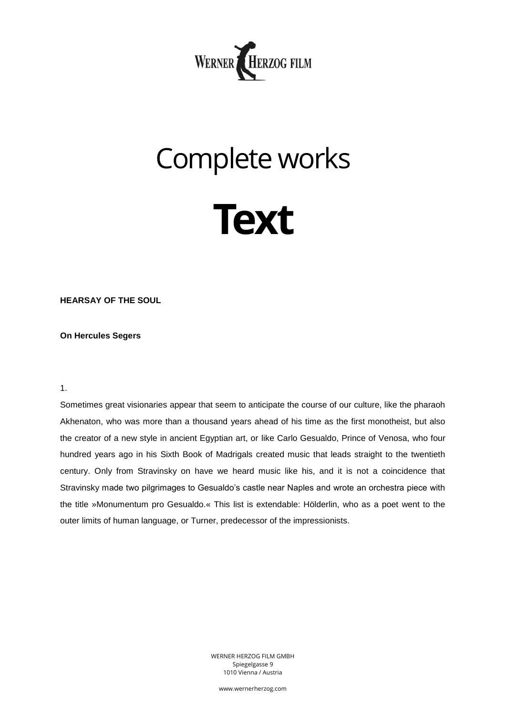

# Complete works



**HEARSAY OF THE SOUL**

## **On Hercules Segers**

1.

Sometimes great visionaries appear that seem to anticipate the course of our culture, like the pharaoh Akhenaton, who was more than a thousand years ahead of his time as the first monotheist, but also the creator of a new style in ancient Egyptian art, or like Carlo Gesualdo, Prince of Venosa, who four hundred years ago in his Sixth Book of Madrigals created music that leads straight to the twentieth century. Only from Stravinsky on have we heard music like his, and it is not a coincidence that Stravinsky made two pilgrimages to Gesualdo's castle near Naples and wrote an orchestra piece with the title »Monumentum pro Gesualdo.« This list is extendable: Hölderlin, who as a poet went to the outer limits of human language, or Turner, predecessor of the impressionists.

> WERNER HERZOG FILM GMBH Spiegelgasse 9 1010 Vienna / Austria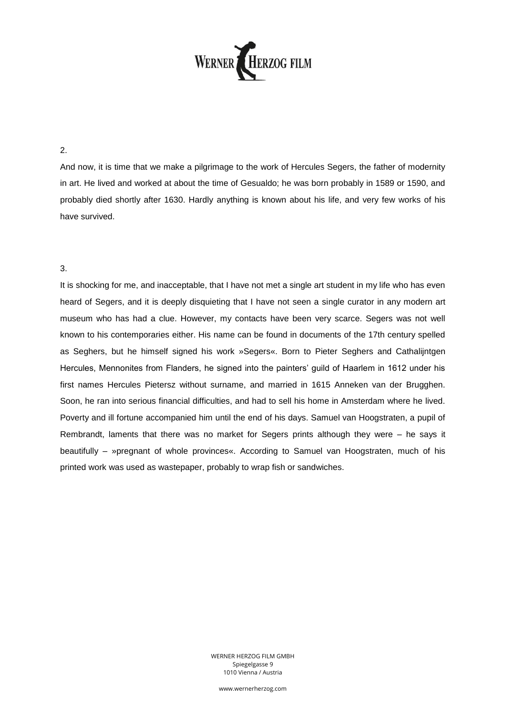

### 2.

And now, it is time that we make a pilgrimage to the work of Hercules Segers, the father of modernity in art. He lived and worked at about the time of Gesualdo; he was born probably in 1589 or 1590, and probably died shortly after 1630. Hardly anything is known about his life, and very few works of his have survived.

#### 3.

It is shocking for me, and inacceptable, that I have not met a single art student in my life who has even heard of Segers, and it is deeply disquieting that I have not seen a single curator in any modern art museum who has had a clue. However, my contacts have been very scarce. Segers was not well known to his contemporaries either. His name can be found in documents of the 17th century spelled as Seghers, but he himself signed his work »Segers«. Born to Pieter Seghers and Cathalijntgen Hercules, Mennonites from Flanders, he signed into the painters' guild of Haarlem in 1612 under his first names Hercules Pietersz without surname, and married in 1615 Anneken van der Brugghen. Soon, he ran into serious financial difficulties, and had to sell his home in Amsterdam where he lived. Poverty and ill fortune accompanied him until the end of his days. Samuel van Hoogstraten, a pupil of Rembrandt, laments that there was no market for Segers prints although they were – he says it beautifully – »pregnant of whole provinces«. According to Samuel van Hoogstraten, much of his printed work was used as wastepaper, probably to wrap fish or sandwiches.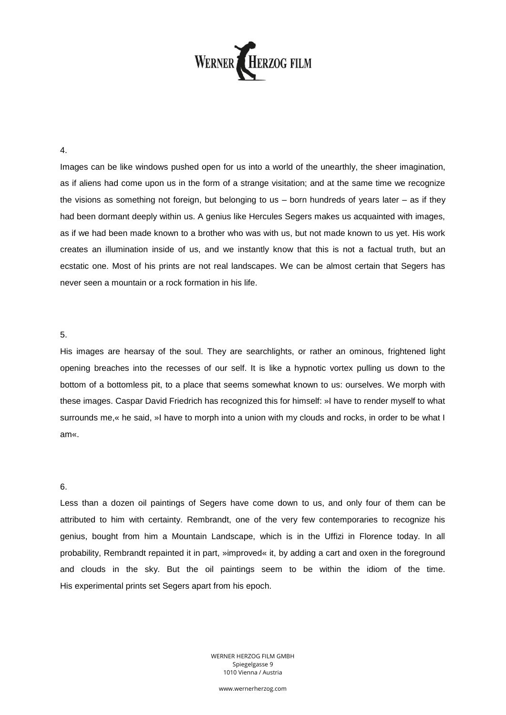

4.

Images can be like windows pushed open for us into a world of the unearthly, the sheer imagination, as if aliens had come upon us in the form of a strange visitation; and at the same time we recognize the visions as something not foreign, but belonging to us – born hundreds of years later – as if they had been dormant deeply within us. A genius like Hercules Segers makes us acquainted with images, as if we had been made known to a brother who was with us, but not made known to us yet. His work creates an illumination inside of us, and we instantly know that this is not a factual truth, but an ecstatic one. Most of his prints are not real landscapes. We can be almost certain that Segers has never seen a mountain or a rock formation in his life.

#### 5.

His images are hearsay of the soul. They are searchlights, or rather an ominous, frightened light opening breaches into the recesses of our self. It is like a hypnotic vortex pulling us down to the bottom of a bottomless pit, to a place that seems somewhat known to us: ourselves. We morph with these images. Caspar David Friedrich has recognized this for himself: »I have to render myself to what surrounds me, « he said, »I have to morph into a union with my clouds and rocks, in order to be what I am«.

#### 6.

Less than a dozen oil paintings of Segers have come down to us, and only four of them can be attributed to him with certainty. Rembrandt, one of the very few contemporaries to recognize his genius, bought from him a Mountain Landscape, which is in the Uffizi in Florence today. In all probability, Rembrandt repainted it in part, »improved« it, by adding a cart and oxen in the foreground and clouds in the sky. But the oil paintings seem to be within the idiom of the time. His experimental prints set Segers apart from his epoch.

> WERNER HERZOG FILM GMBH Spiegelgasse 9 1010 Vienna / Austria